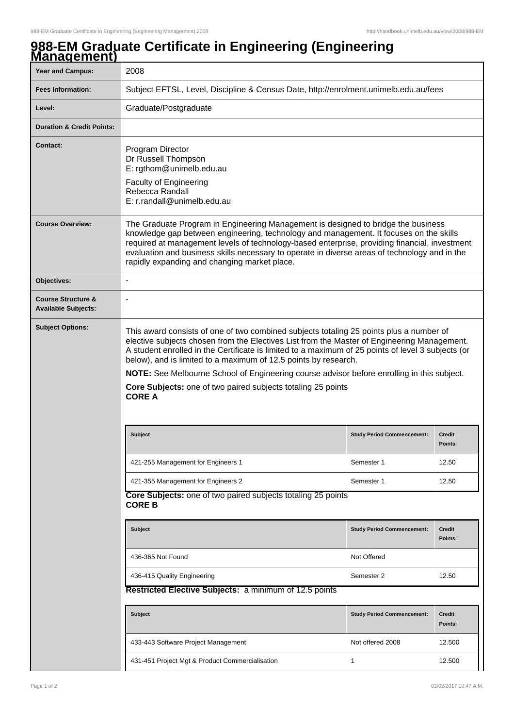## **988-EM Graduate Certificate in Engineering (Engineering Management)**

| <u>манаустның </u>                                          |                                                                                                                                                                                                                                                                                                                                                                                                                                                                                                                                                |                                   |                          |  |  |
|-------------------------------------------------------------|------------------------------------------------------------------------------------------------------------------------------------------------------------------------------------------------------------------------------------------------------------------------------------------------------------------------------------------------------------------------------------------------------------------------------------------------------------------------------------------------------------------------------------------------|-----------------------------------|--------------------------|--|--|
| <b>Year and Campus:</b>                                     | 2008                                                                                                                                                                                                                                                                                                                                                                                                                                                                                                                                           |                                   |                          |  |  |
| <b>Fees Information:</b>                                    | Subject EFTSL, Level, Discipline & Census Date, http://enrolment.unimelb.edu.au/fees                                                                                                                                                                                                                                                                                                                                                                                                                                                           |                                   |                          |  |  |
| Level:                                                      | Graduate/Postgraduate                                                                                                                                                                                                                                                                                                                                                                                                                                                                                                                          |                                   |                          |  |  |
| <b>Duration &amp; Credit Points:</b>                        |                                                                                                                                                                                                                                                                                                                                                                                                                                                                                                                                                |                                   |                          |  |  |
| <b>Contact:</b>                                             | Program Director<br>Dr Russell Thompson<br>E: rgthom@unimelb.edu.au<br><b>Faculty of Engineering</b><br>Rebecca Randall<br>E: r.randall@unimelb.edu.au                                                                                                                                                                                                                                                                                                                                                                                         |                                   |                          |  |  |
| <b>Course Overview:</b>                                     | The Graduate Program in Engineering Management is designed to bridge the business<br>knowledge gap between engineering, technology and management. It focuses on the skills<br>required at management levels of technology-based enterprise, providing financial, investment<br>evaluation and business skills necessary to operate in diverse areas of technology and in the<br>rapidly expanding and changing market place.                                                                                                                  |                                   |                          |  |  |
| Objectives:                                                 | $\overline{a}$                                                                                                                                                                                                                                                                                                                                                                                                                                                                                                                                 |                                   |                          |  |  |
| <b>Course Structure &amp;</b><br><b>Available Subjects:</b> | $\overline{\phantom{a}}$                                                                                                                                                                                                                                                                                                                                                                                                                                                                                                                       |                                   |                          |  |  |
| <b>Subject Options:</b>                                     | This award consists of one of two combined subjects totaling 25 points plus a number of<br>elective subjects chosen from the Electives List from the Master of Engineering Management.<br>A student enrolled in the Certificate is limited to a maximum of 25 points of level 3 subjects (or<br>below), and is limited to a maximum of 12.5 points by research.<br>NOTE: See Melbourne School of Engineering course advisor before enrolling in this subject.<br>Core Subjects: one of two paired subjects totaling 25 points<br><b>CORE A</b> |                                   |                          |  |  |
|                                                             | <b>Subject</b>                                                                                                                                                                                                                                                                                                                                                                                                                                                                                                                                 | <b>Study Period Commencement:</b> | <b>Credit</b><br>Points: |  |  |
|                                                             | 421-255 Management for Engineers 1                                                                                                                                                                                                                                                                                                                                                                                                                                                                                                             | Semester 1                        | 12.50                    |  |  |
|                                                             | 421-355 Management for Engineers 2                                                                                                                                                                                                                                                                                                                                                                                                                                                                                                             | Semester 1                        | 12.50                    |  |  |
|                                                             | Core Subjects: one of two paired subjects totaling 25 points<br><b>CORE B</b>                                                                                                                                                                                                                                                                                                                                                                                                                                                                  |                                   |                          |  |  |
|                                                             | <b>Subject</b>                                                                                                                                                                                                                                                                                                                                                                                                                                                                                                                                 | <b>Study Period Commencement:</b> | <b>Credit</b><br>Points: |  |  |
|                                                             | 436-365 Not Found                                                                                                                                                                                                                                                                                                                                                                                                                                                                                                                              | Not Offered                       |                          |  |  |
|                                                             | 436-415 Quality Engineering                                                                                                                                                                                                                                                                                                                                                                                                                                                                                                                    | Semester 2                        | 12.50                    |  |  |
|                                                             | Restricted Elective Subjects: a minimum of 12.5 points                                                                                                                                                                                                                                                                                                                                                                                                                                                                                         |                                   |                          |  |  |
|                                                             | <b>Subject</b>                                                                                                                                                                                                                                                                                                                                                                                                                                                                                                                                 | <b>Study Period Commencement:</b> | <b>Credit</b><br>Points: |  |  |
|                                                             | 433-443 Software Project Management                                                                                                                                                                                                                                                                                                                                                                                                                                                                                                            | Not offered 2008                  | 12.500                   |  |  |
|                                                             | 431-451 Project Mgt & Product Commercialisation                                                                                                                                                                                                                                                                                                                                                                                                                                                                                                | 1                                 | 12.500                   |  |  |